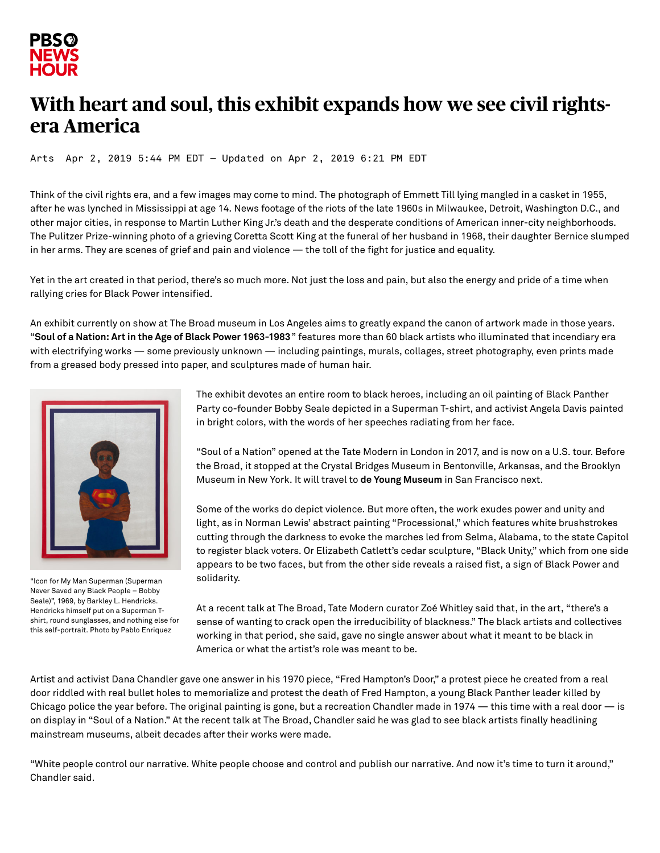

## **With heart and soul, this exhibit expands how we see civil rightsera America**

[Arts](https://www.pbs.org/newshour/arts) Apr 2, 2019 5:44 PM EDT — Updated on Apr 2, 2019 6:21 PM EDT

Think of the civil rights era, and a few images may come to mind. The photograph of Emmett Till lying mangled in a casket in 1955, after he was lynched in Mississippi at age 14. News footage of the riots of the late 1960s in Milwaukee, Detroit, Washington D.C., and other major cities, in response to Martin Luther King Jr.'s death and the desperate conditions of American inner-city neighborhoods. The Pulitzer Prize-winning photo of a grieving Coretta Scott King at the funeral of her husband in 1968, their daughter Bernice slumped in her arms. They are scenes of grief and pain and violence — the toll of the fight for justice and equality.

Yet in the art created in that period, there's so much more. Not just the loss and pain, but also the energy and pride of a time when rallying cries for Black Power intensified.

An exhibit currently on show at The Broad museum in Los Angeles aims to greatly expand the canon of artwork made in those years. "**Soul of a Nation: Art in the Age of Black Power [1963-1983](https://www.thebroad.org/soul-of-a-nation)**" features more than 60 black artists who illuminated that incendiary era with electrifying works — some previously unknown — including paintings, murals, collages, street photography, even prints made from a greased body pressed into paper, and sculptures made of human hair.



"Icon for My Man Superman (Superman Never Saved any Black People – Bobby Seale)", 1969, by Barkley L. Hendricks. Hendricks himself put on a Superman Tshirt, round sunglasses, and nothing else for this self-portrait. Photo by Pablo Enriquez

The exhibit devotes an entire room to black heroes, including an oil painting of Black Panther Party co-founder Bobby Seale depicted in a Superman T-shirt, and activist Angela Davis painted in bright colors, with the words of her speeches radiating from her face.

"Soul of a Nation" opened at the Tate Modern in London in 2017, and is now on a U.S. tour. Before the Broad, it stopped at the Crystal Bridges Museum in Bentonville, Arkansas, and the Brooklyn Museum in New York. It will travel to **de Young [Museum](https://datebook.sfchronicle.com/art-exhibits/art-in-the-age-of-black-power-blockbuster-exhibit-will-come-to-s-f)** in San Francisco next.

Some of the works do depict violence. But more often, the work exudes power and unity and light, as in Norman Lewis' abstract painting "Processional," which features white brushstrokes cutting through the darkness to evoke the marches led from Selma, Alabama, to the state Capitol to register black voters. Or Elizabeth Catlett's cedar sculpture, "Black Unity," which from one side appears to be two faces, but from the other side reveals a raised fist, a sign of Black Power and solidarity.

At a recent talk at The Broad, Tate Modern curator Zoé Whitley said that, in the art, "there's a sense of wanting to crack open the irreducibility of blackness." The black artists and collectives working in that period, she said, gave no single answer about what it meant to be black in America or what the artist's role was meant to be.

Artist and activist Dana Chandler gave one answer in his 1970 piece, "Fred Hampton's Door," a protest piece he created from a real door riddled with real bullet holes to memorialize and protest the death of Fred Hampton, a young Black Panther leader killed by Chicago police the year before. The original painting is gone, but a recreation Chandler made in 1974 — this time with a real door — is on display in "Soul of a Nation." At the recent talk at The Broad, Chandler said he was glad to see black artists finally headlining mainstream museums, albeit decades after their works were made.

"White people control our narrative. White people choose and control and publish our narrative. And now it's time to turn it around," Chandler said.